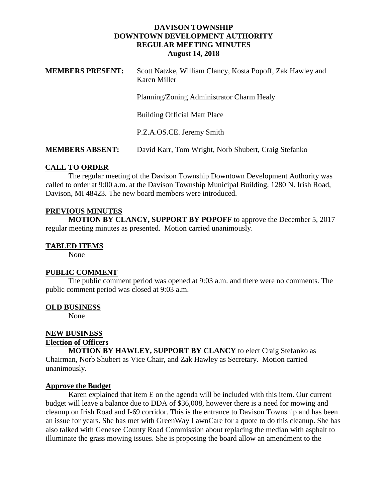### **DAVISON TOWNSHIP DOWNTOWN DEVELOPMENT AUTHORITY REGULAR MEETING MINUTES August 14, 2018**

| <b>MEMBERS PRESENT:</b> | Scott Natzke, William Clancy, Kosta Popoff, Zak Hawley and<br>Karen Miller |
|-------------------------|----------------------------------------------------------------------------|
|                         | Planning/Zoning Administrator Charm Healy                                  |
|                         | <b>Building Official Matt Place</b>                                        |
|                         | P.Z.A.OS.CE. Jeremy Smith                                                  |

**MEMBERS ABSENT:** David Karr, Tom Wright, Norb Shubert, Craig Stefanko

### **CALL TO ORDER**

The regular meeting of the Davison Township Downtown Development Authority was called to order at 9:00 a.m. at the Davison Township Municipal Building, 1280 N. Irish Road, Davison, MI 48423. The new board members were introduced.

### **PREVIOUS MINUTES**

**MOTION BY CLANCY, SUPPORT BY POPOFF** to approve the December 5, 2017 regular meeting minutes as presented. Motion carried unanimously.

### **TABLED ITEMS**

None

### **PUBLIC COMMENT**

The public comment period was opened at 9:03 a.m. and there were no comments. The public comment period was closed at 9:03 a.m.

### **OLD BUSINESS**

None

# **NEW BUSINESS**

## **Election of Officers**

**MOTION BY HAWLEY, SUPPORT BY CLANCY** to elect Craig Stefanko as Chairman, Norb Shubert as Vice Chair, and Zak Hawley as Secretary. Motion carried unanimously.

### **Approve the Budget**

Karen explained that item E on the agenda will be included with this item. Our current budget will leave a balance due to DDA of \$36,008, however there is a need for mowing and cleanup on Irish Road and I-69 corridor. This is the entrance to Davison Township and has been an issue for years. She has met with GreenWay LawnCare for a quote to do this cleanup. She has also talked with Genesee County Road Commission about replacing the median with asphalt to illuminate the grass mowing issues. She is proposing the board allow an amendment to the